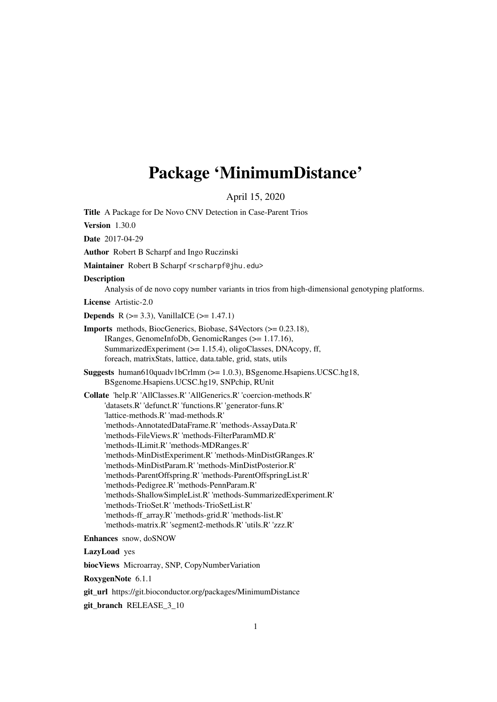## <span id="page-0-0"></span>Package 'MinimumDistance'

April 15, 2020

Title A Package for De Novo CNV Detection in Case-Parent Trios **Version** 1.30.0

Date 2017-04-29

Author Robert B Scharpf and Ingo Ruczinski

Maintainer Robert B Scharpf <rscharpf@jhu.edu>

Description

Analysis of de novo copy number variants in trios from high-dimensional genotyping platforms.

License Artistic-2.0

**Depends** R ( $>= 3.3$ ), VanillaICE ( $>= 1.47.1$ )

- Imports methods, BiocGenerics, Biobase, S4Vectors (>= 0.23.18), IRanges, GenomeInfoDb, GenomicRanges (>= 1.17.16), SummarizedExperiment (>= 1.15.4), oligoClasses, DNAcopy, ff, foreach, matrixStats, lattice, data.table, grid, stats, utils
- Suggests human610quadv1bCrlmm (>= 1.0.3), BSgenome.Hsapiens.UCSC.hg18, BSgenome.Hsapiens.UCSC.hg19, SNPchip, RUnit

Collate 'help.R' 'AllClasses.R' 'AllGenerics.R' 'coercion-methods.R' 'datasets.R' 'defunct.R' 'functions.R' 'generator-funs.R' 'lattice-methods.R' 'mad-methods.R' 'methods-AnnotatedDataFrame.R' 'methods-AssayData.R' 'methods-FileViews.R' 'methods-FilterParamMD.R' 'methods-ILimit.R' 'methods-MDRanges.R' 'methods-MinDistExperiment.R' 'methods-MinDistGRanges.R' 'methods-MinDistParam.R' 'methods-MinDistPosterior.R' 'methods-ParentOffspring.R' 'methods-ParentOffspringList.R' 'methods-Pedigree.R' 'methods-PennParam.R' 'methods-ShallowSimpleList.R' 'methods-SummarizedExperiment.R' 'methods-TrioSet.R' 'methods-TrioSetList.R' 'methods-ff\_array.R' 'methods-grid.R' 'methods-list.R' 'methods-matrix.R' 'segment2-methods.R' 'utils.R' 'zzz.R'

Enhances snow, doSNOW

LazyLoad yes

biocViews Microarray, SNP, CopyNumberVariation

RoxygenNote 6.1.1

git\_url https://git.bioconductor.org/packages/MinimumDistance

git\_branch RELEASE\_3\_10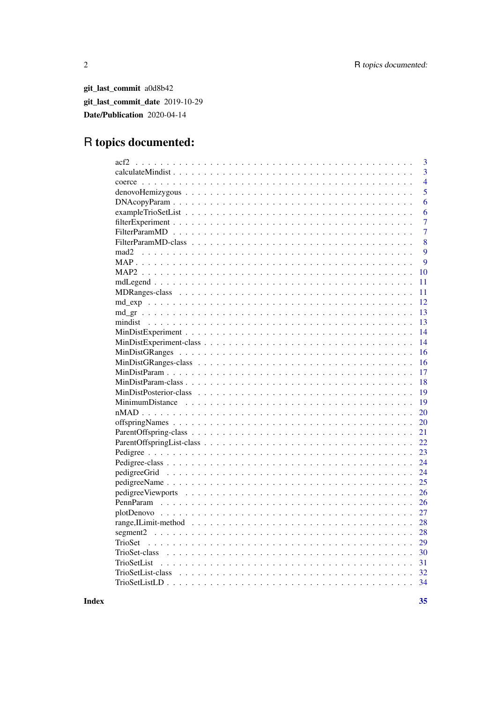git\_last\_commit a0d8b42 git\_last\_commit\_date 2019-10-29 Date/Publication 2020-04-14

## R topics documented:

| 3              |
|----------------|
| $\overline{3}$ |
| $\overline{4}$ |
| 5              |
| 6              |
| 6              |
| $\overline{7}$ |
| $\overline{7}$ |
| 8              |
| 9<br>mad2      |
| 9              |
| 10             |
| 11             |
| 11             |
| 12             |
| 13             |
| 13             |
| 14             |
| 14             |
| 16             |
| 16             |
| 17             |
| 18             |
| 19             |
| 19             |
| 20             |
| 20             |
| 21             |
| 22             |
| 23             |
| 24             |
| 24             |
| 25             |
| 26             |
| 26             |
| 27             |
| 28             |
| 28             |
| 29             |
|                |
| 31             |
| 32             |
| 34             |

**Index**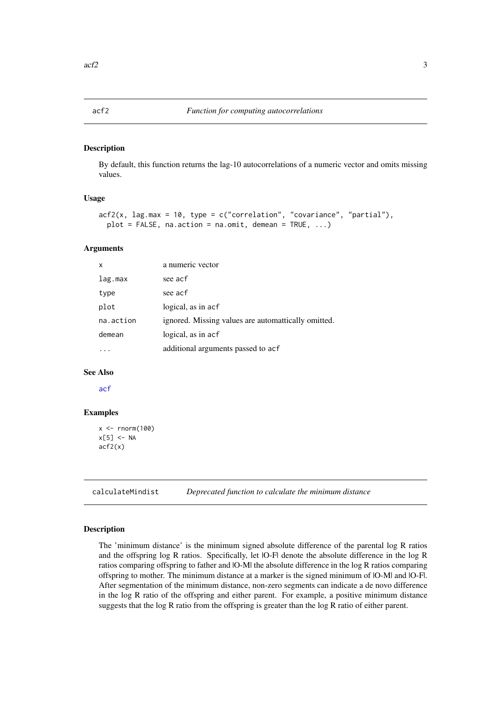<span id="page-2-0"></span>

By default, this function returns the lag-10 autocorrelations of a numeric vector and omits missing values.

#### Usage

```
\text{arfc}(x, \text{ lag.max} = 10, \text{ type} = c("correlation", "covariance", "partial"),plot = FALSE, na.action = na.omit, demean = TRUE, ...)
```
#### Arguments

| X         | a numeric vector                                    |
|-----------|-----------------------------------------------------|
| lag.max   | see acf                                             |
| type      | see acf                                             |
| plot      | logical, as in acf                                  |
| na.action | ignored. Missing values are automattically omitted. |
| demean    | logical, as in acf                                  |
|           | additional arguments passed to acf                  |

#### See Also

[acf](#page-0-0)

#### Examples

```
x \leq -rnorm(100)x[5] <- NA
acf2(x)
```
calculateMindist *Deprecated function to calculate the minimum distance*

#### Description

The 'minimum distance' is the minimum signed absolute difference of the parental log R ratios and the offspring log R ratios. Specifically, let |O-F| denote the absolute difference in the log R ratios comparing offspring to father and |O-M| the absolute difference in the log R ratios comparing offspring to mother. The minimum distance at a marker is the signed minimum of |O-M| and |O-F|. After segmentation of the minimum distance, non-zero segments can indicate a de novo difference in the log R ratio of the offspring and either parent. For example, a positive minimum distance suggests that the log R ratio from the offspring is greater than the log R ratio of either parent.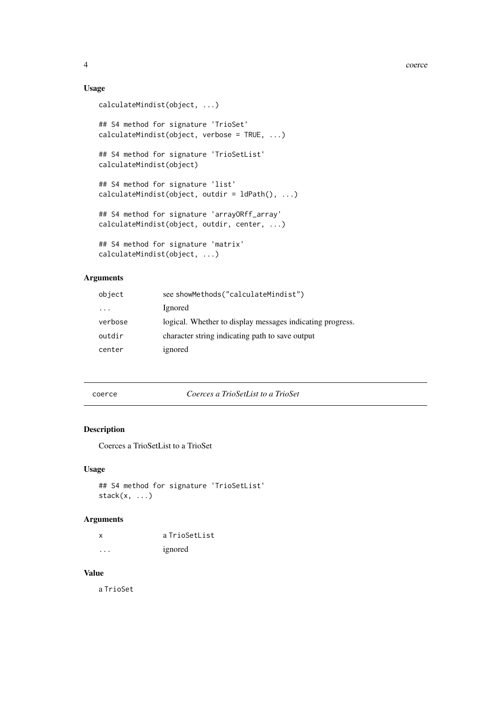## Usage

```
calculateMindist(object, ...)
## S4 method for signature 'TrioSet'
calculateMindist(object, verbose = TRUE, ...)## S4 method for signature 'TrioSetList'
calculateMindist(object)
## S4 method for signature 'list'
calculateMindist(object, outdir = ldPath(), ...)
## S4 method for signature 'arrayORff_array'
calculateMindist(object, outdir, center, ...)
## S4 method for signature 'matrix'
calculateMindist(object, ...)
```
## Arguments

| object   | see showMethods("calculateMindist")                       |
|----------|-----------------------------------------------------------|
| $\cdots$ | Ignored                                                   |
| verbose  | logical. Whether to display messages indicating progress. |
| outdir   | character string indicating path to save output           |
| center   | ignored                                                   |
|          |                                                           |

coerce *Coerces a TrioSetList to a TrioSet*

#### Description

Coerces a TrioSetList to a TrioSet

## Usage

```
## S4 method for signature 'TrioSetList'
stack(x, ...)
```
## Arguments

| X | a TrioSetList |
|---|---------------|
| . | ignored       |

## Value

a TrioSet

<span id="page-3-0"></span>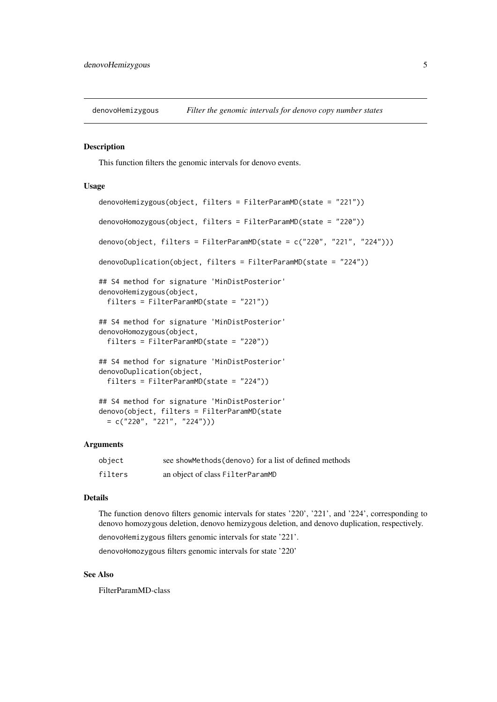<span id="page-4-0"></span>denovoHemizygous *Filter the genomic intervals for denovo copy number states*

#### <span id="page-4-1"></span>Description

This function filters the genomic intervals for denovo events.

#### Usage

```
denovoHemizygous(object, filters = FilterParamMD(state = "221"))
denovoHomozygous(object, filters = FilterParamMD(state = "220"))
denovo(object, filters = FilterParamMD(state = c("220", "221", "224")))
denovoDuplication(object, filters = FilterParamMD(state = "224"))
## S4 method for signature 'MinDistPosterior'
denovoHemizygous(object,
  filters = FilterParamMD(state = "221"))
## S4 method for signature 'MinDistPosterior'
denovoHomozygous(object,
  filters = FilterParamMD(state = "220"))
## S4 method for signature 'MinDistPosterior'
denovoDuplication(object,
  filters = FilterParamMD(state = "224"))
## S4 method for signature 'MinDistPosterior'
denovo(object, filters = FilterParamMD(state
 = c("220", "221", "224"))
```
## Arguments

| object  | see showMethods (denovo) for a list of defined methods |
|---------|--------------------------------------------------------|
| filters | an object of class FilterParamMD                       |

#### Details

The function denovo filters genomic intervals for states '220', '221', and '224', corresponding to denovo homozygous deletion, denovo hemizygous deletion, and denovo duplication, respectively. denovoHemizygous filters genomic intervals for state '221'.

denovoHomozygous filters genomic intervals for state '220'

## See Also

FilterParamMD-class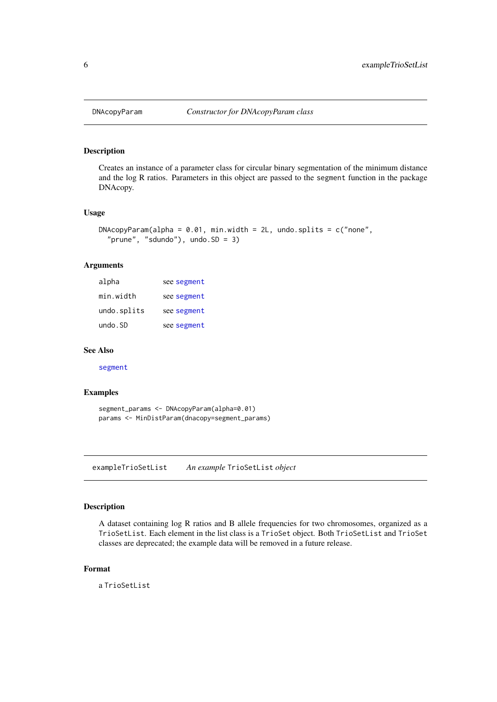<span id="page-5-0"></span>

Creates an instance of a parameter class for circular binary segmentation of the minimum distance and the log R ratios. Parameters in this object are passed to the segment function in the package DNAcopy.

#### Usage

```
DNAcopyParam(alpha = 0.01, min.width = 2L, undo.splits = c("none","prune", "sdundo"), undo.SD = 3)
```
#### Arguments

| alpha       | see segment |
|-------------|-------------|
| min.width   | see segment |
| undo.splits | see segment |
| undo.SD     | see segment |

#### See Also

[segment](#page-0-0)

#### Examples

segment\_params <- DNAcopyParam(alpha=0.01) params <- MinDistParam(dnacopy=segment\_params)

exampleTrioSetList *An example* TrioSetList *object*

#### Description

A dataset containing log R ratios and B allele frequencies for two chromosomes, organized as a TrioSetList. Each element in the list class is a TrioSet object. Both TrioSetList and TrioSet classes are deprecated; the example data will be removed in a future release.

#### Format

a TrioSetList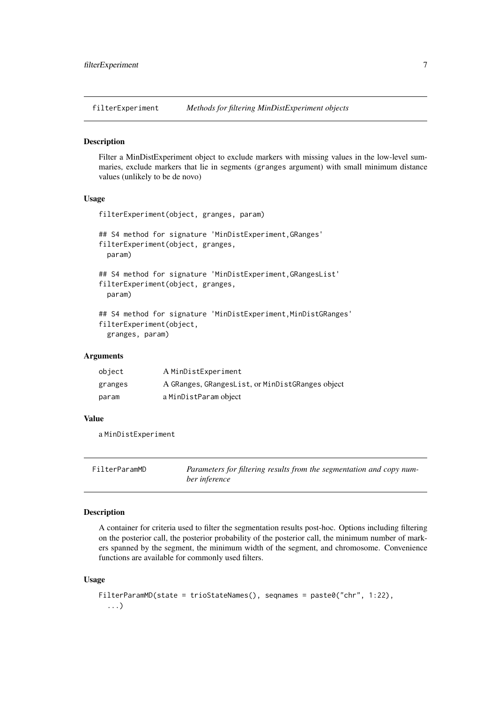<span id="page-6-0"></span>filterExperiment *Methods for filtering MinDistExperiment objects*

#### Description

Filter a MinDistExperiment object to exclude markers with missing values in the low-level summaries, exclude markers that lie in segments (granges argument) with small minimum distance values (unlikely to be de novo)

#### Usage

```
filterExperiment(object, granges, param)
## S4 method for signature 'MinDistExperiment,GRanges'
filterExperiment(object, granges,
  param)
## S4 method for signature 'MinDistExperiment,GRangesList'
filterExperiment(object, granges,
  param)
## S4 method for signature 'MinDistExperiment, MinDistGRanges'
filterExperiment(object,
  granges, param)
```
## Arguments

| object  | A MinDistExperiment                              |
|---------|--------------------------------------------------|
| granges | A GRanges, GRangesList, or MinDistGRanges object |
| param   | a MinDistParam object                            |

#### Value

a MinDistExperiment

FilterParamMD *Parameters for filtering results from the segmentation and copy number inference*

#### Description

A container for criteria used to filter the segmentation results post-hoc. Options including filtering on the posterior call, the posterior probability of the posterior call, the minimum number of markers spanned by the segment, the minimum width of the segment, and chromosome. Convenience functions are available for commonly used filters.

#### Usage

```
FilterParamMD(state = trioStateNames(), seqnames = paste0("chr", 1:22),
  ...)
```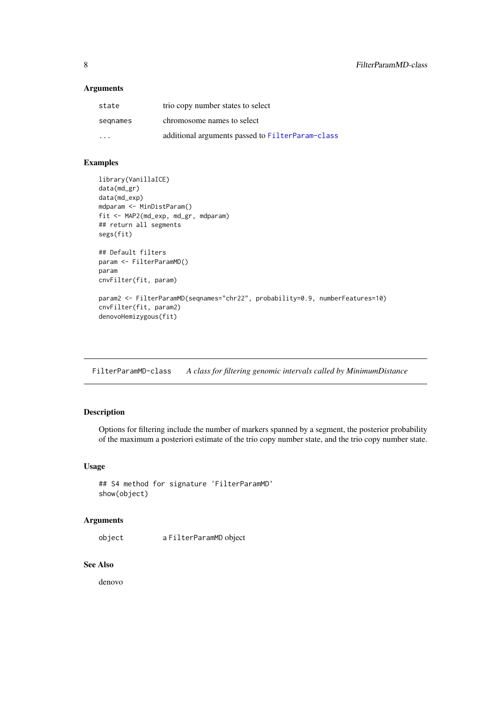## <span id="page-7-0"></span>Arguments

| state                   | trio copy number states to select                |
|-------------------------|--------------------------------------------------|
| segnames                | chromosome names to select                       |
| $\cdot$ $\cdot$ $\cdot$ | additional arguments passed to FilterParam-class |

## Examples

```
library(VanillaICE)
data(md_gr)
data(md_exp)
mdparam <- MinDistParam()
fit <- MAP2(md_exp, md_gr, mdparam)
## return all segments
segs(fit)
## Default filters
param <- FilterParamMD()
param
cnvFilter(fit, param)
param2 <- FilterParamMD(seqnames="chr22", probability=0.9, numberFeatures=10)
cnvFilter(fit, param2)
denovoHemizygous(fit)
```
FilterParamMD-class *A class for filtering genomic intervals called by MinimumDistance*

## Description

Options for filtering include the number of markers spanned by a segment, the posterior probability of the maximum a posteriori estimate of the trio copy number state, and the trio copy number state.

## Usage

```
## S4 method for signature 'FilterParamMD'
show(object)
```
## Arguments

object a FilterParamMD object

## See Also

denovo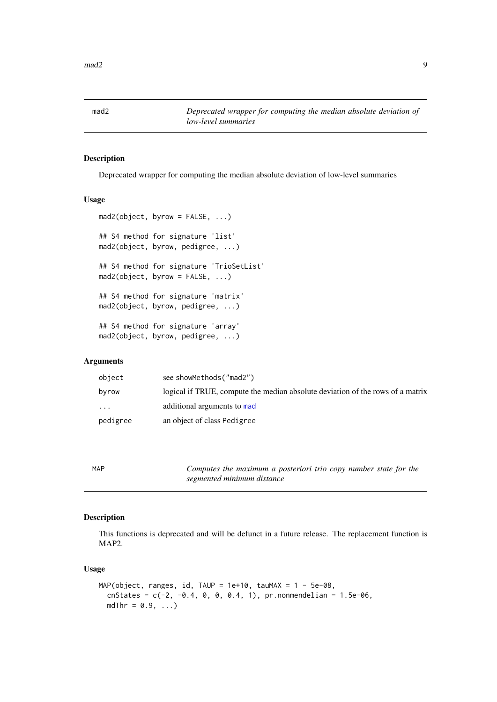<span id="page-8-0"></span>

Deprecated wrapper for computing the median absolute deviation of low-level summaries

#### Usage

```
mad2(object, byrow = FALSE, ...)
## S4 method for signature 'list'
mad2(object, byrow, pedigree, ...)
## S4 method for signature 'TrioSetList'
mad2(object, byrow = FALSE, ...)
## S4 method for signature 'matrix'
mad2(object, byrow, pedigree, ...)
## S4 method for signature 'array'
mad2(object, byrow, pedigree, ...)
```
## Arguments

| object   | see showMethods("mad2")                                                        |
|----------|--------------------------------------------------------------------------------|
| byrow    | logical if TRUE, compute the median absolute deviation of the rows of a matrix |
| $\cdots$ | additional arguments to mad                                                    |
| pedigree | an object of class Pedigree                                                    |

MAP *Computes the maximum a posteriori trio copy number state for the segmented minimum distance*

## Description

This functions is deprecated and will be defunct in a future release. The replacement function is MAP2.

#### Usage

```
MAP(object, ranges, id, TAUP = 1e+10, tauMAX = 1 - 5e-08,
 cnStates = c(-2, -0.4, 0, 0, 0.4, 1), pr.nonmendelian = 1.5e-06,
 mdThr = 0.9, ...
```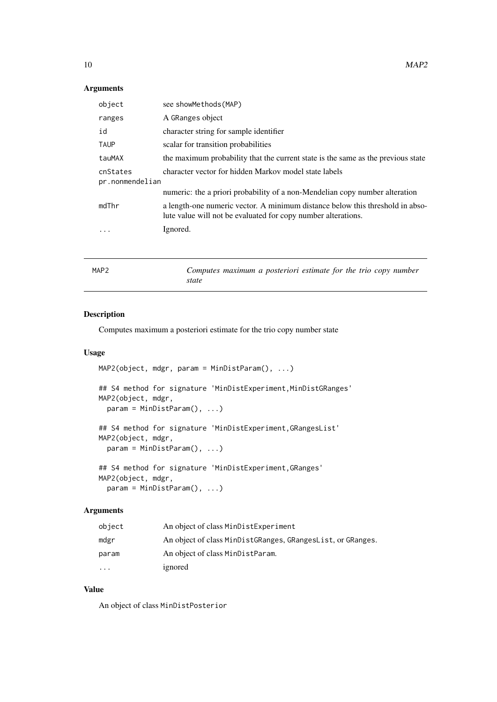## <span id="page-9-0"></span>Arguments

| object                      | see showMethods (MAP)                                                                                                                          |
|-----------------------------|------------------------------------------------------------------------------------------------------------------------------------------------|
| ranges                      | A GRanges object                                                                                                                               |
| id                          | character string for sample identifier                                                                                                         |
| <b>TAUP</b>                 | scalar for transition probabilities                                                                                                            |
| tauMAX                      | the maximum probability that the current state is the same as the previous state                                                               |
| cnStates<br>pr.nonmendelian | character vector for hidden Markov model state labels                                                                                          |
|                             | numeric: the a priori probability of a non-Mendelian copy number alteration                                                                    |
| mdThr                       | a length-one numeric vector. A minimum distance below this threshold in abso-<br>lute value will not be evaluated for copy number alterations. |
| .                           | Ignored.                                                                                                                                       |
|                             |                                                                                                                                                |

|--|

Computes maximum a posteriori estimate for the trio copy number *state*

## Description

Computes maximum a posteriori estimate for the trio copy number state

#### Usage

```
MAP2(object, mdgr, param = MinDistParam(), ...)
```

```
## S4 method for signature 'MinDistExperiment,MinDistGRanges'
MAP2(object, mdgr,
  param = MinDistParam(), ...)
```

```
## S4 method for signature 'MinDistExperiment,GRangesList'
MAP2(object, mdgr,
  param = MinDistParam(), ...)
```

```
## S4 method for signature 'MinDistExperiment,GRanges'
MAP2(object, mdgr,
  param = MinDistParam(), ...)
```
## Arguments

| object    | An object of class MinDistExperiment                        |
|-----------|-------------------------------------------------------------|
| mdgr      | An object of class MinDistGRanges, GRangesList, or GRanges. |
| param     | An object of class MinDistParam.                            |
| $\ddotsc$ | ignored                                                     |

## Value

An object of class MinDistPosterior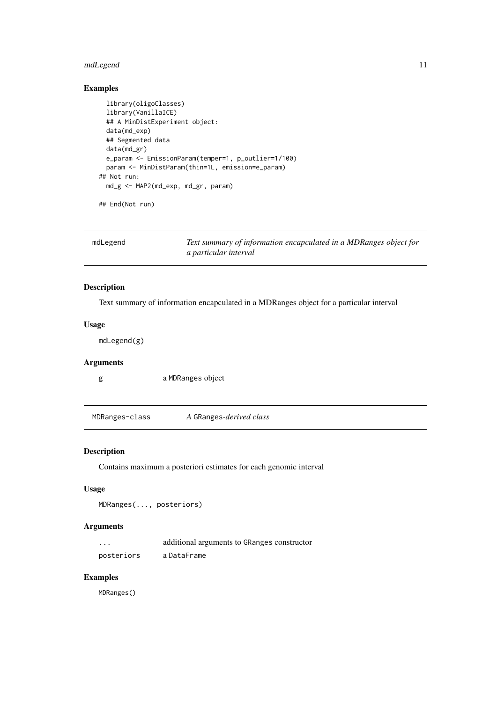#### <span id="page-10-0"></span>mdLegend 11

## Examples

```
library(oligoClasses)
  library(VanillaICE)
  ## A MinDistExperiment object:
  data(md_exp)
  ## Segmented data
  data(md_gr)
  e_param <- EmissionParam(temper=1, p_outlier=1/100)
 param <- MinDistParam(thin=1L, emission=e_param)
## Not run:
  md_g <- MAP2(md_exp, md_gr, param)
```
## End(Not run)

| mdLegend | Text summary of information encapculated in a MDRanges object for |
|----------|-------------------------------------------------------------------|
|          | a particular interval                                             |

## Description

Text summary of information encapculated in a MDRanges object for a particular interval

## Usage

mdLegend(g)

#### Arguments

g a MDRanges object

MDRanges-class *A* GRanges*-derived class*

## Description

Contains maximum a posteriori estimates for each genomic interval

## Usage

```
MDRanges(..., posteriors)
```
## Arguments

| $\cdots$   | additional arguments to GRanges constructor |
|------------|---------------------------------------------|
| posteriors | a DataFrame                                 |

#### Examples

MDRanges()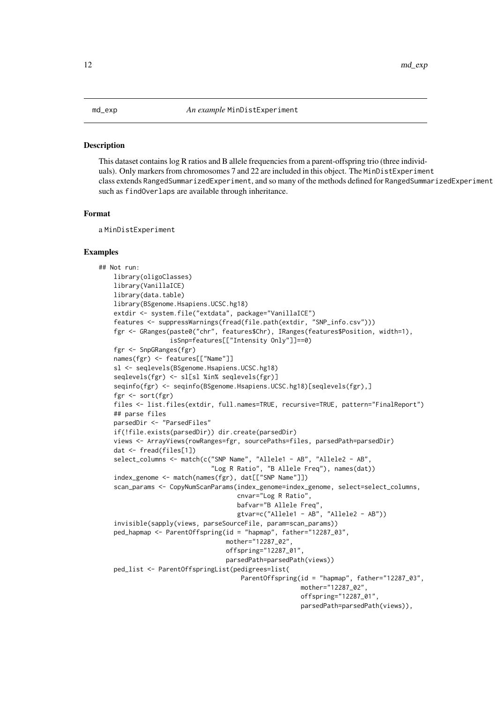<span id="page-11-0"></span>This dataset contains log R ratios and B allele frequencies from a parent-offspring trio (three individuals). Only markers from chromosomes 7 and 22 are included in this object. The MinDistExperiment class extends RangedSummarizedExperiment, and so many of the methods defined for RangedSummarizedExperiment such as findOverlaps are available through inheritance.

#### Format

a MinDistExperiment

#### Examples

```
## Not run:
   library(oligoClasses)
   library(VanillaICE)
   library(data.table)
   library(BSgenome.Hsapiens.UCSC.hg18)
    extdir <- system.file("extdata", package="VanillaICE")
    features <- suppressWarnings(fread(file.path(extdir, "SNP_info.csv")))
   fgr <- GRanges(paste0("chr", features$Chr), IRanges(features$Position, width=1),
                   isSnp=features[["Intensity Only"]]==0)
   fgr <- SnpGRanges(fgr)
   names(fgr) <- features[["Name"]]
   sl <- seqlevels(BSgenome.Hsapiens.UCSC.hg18)
   seqlevels(fgr) <- sl[sl %in% seqlevels(fgr)]
   seqinfo(fgr) <- seqinfo(BSgenome.Hsapiens.UCSC.hg18)[seqlevels(fgr),]
   fgr <- sort(fgr)
   files <- list.files(extdir, full.names=TRUE, recursive=TRUE, pattern="FinalReport")
   ## parse files
   parsedDir <- "ParsedFiles"
   if(!file.exists(parsedDir)) dir.create(parsedDir)
   views <- ArrayViews(rowRanges=fgr, sourcePaths=files, parsedPath=parsedDir)
   dat <- fread(files[1])
   select_columns <- match(c("SNP Name", "Allele1 - AB", "Allele2 - AB",
                              "Log R Ratio", "B Allele Freq"), names(dat))
    index_genome <- match(names(fgr), dat[["SNP Name"]])
    scan_params <- CopyNumScanParams(index_genome=index_genome, select=select_columns,
                                     cnvar="Log R Ratio",
                                     bafvar="B Allele Freq",
                                     gtvar=c("Allele1 - AB", "Allele2 - AB"))
    invisible(sapply(views, parseSourceFile, param=scan_params))
   ped_hapmap <- ParentOffspring(id = "hapmap", father="12287_03",
                                  mother="12287_02",
                                  offspring="12287_01",
                                  parsedPath=parsedPath(views))
   ped_list <- ParentOffspringList(pedigrees=list(
                                      ParentOffspring(id = "hapmap", father="12287_03",
                                                      mother="12287_02",
                                                      offspring="12287_01",
                                                      parsedPath=parsedPath(views)),
```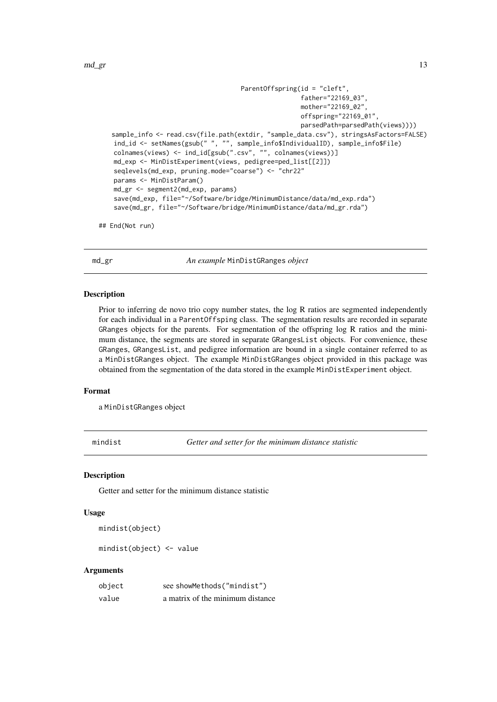```
ParentOffspring(id = "cleft",
                                                   father="22169_03",
                                                   mother="22169_02",
                                                   offspring="22169_01",
                                                   parsedPath=parsedPath(views))))
sample_info <- read.csv(file.path(extdir, "sample_data.csv"), stringsAsFactors=FALSE)
ind_id <- setNames(gsub(" ", "", sample_info$IndividualID), sample_info$File)
colnames(views) <- ind_id[gsub(".csv", "", colnames(views))]
md_exp <- MinDistExperiment(views, pedigree=ped_list[[2]])
seqlevels(md exp. pruning.mode="coarse") <- "chr22"
params <- MinDistParam()
md_gr <- segment2(md_exp, params)
save(md_exp, file="~/Software/bridge/MinimumDistance/data/md_exp.rda")
save(md_gr, file="~/Software/bridge/MinimumDistance/data/md_gr.rda")
```
## End(Not run)

md\_gr *An example* MinDistGRanges *object*

#### Description

Prior to inferring de novo trio copy number states, the log R ratios are segmented independently for each individual in a ParentOffsping class. The segmentation results are recorded in separate GRanges objects for the parents. For segmentation of the offspring log R ratios and the minimum distance, the segments are stored in separate GRangesList objects. For convenience, these GRanges, GRangesList, and pedigree information are bound in a single container referred to as a MinDistGRanges object. The example MinDistGRanges object provided in this package was obtained from the segmentation of the data stored in the example MinDistExperiment object.

#### Format

a MinDistGRanges object

mindist *Getter and setter for the minimum distance statistic*

#### Description

Getter and setter for the minimum distance statistic

## Usage

mindist(object)

mindist(object) <- value

| object | see showMethods("mindist")       |
|--------|----------------------------------|
| value  | a matrix of the minimum distance |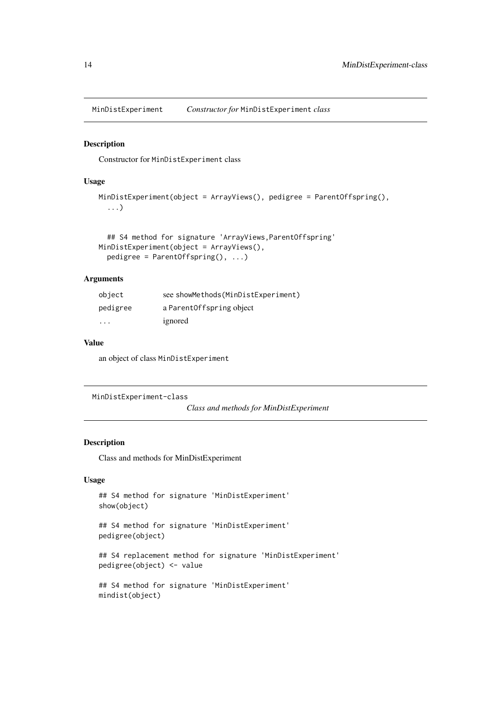<span id="page-13-0"></span>MinDistExperiment *Constructor for* MinDistExperiment *class*

#### Description

Constructor for MinDistExperiment class

#### Usage

```
MinDistExperiment(object = ArrayViews(), pedigree = ParentOffspring(),
  ...)
```

```
## S4 method for signature 'ArrayViews,ParentOffspring'
MinDistExperiment(object = ArrayViews(),
 pedigree = ParentOffspring(), ...)
```
## Arguments

| object                  | see showMethods (MinDistExperiment) |
|-------------------------|-------------------------------------|
| pedigree                | a Parent Offspring object           |
| $\cdot$ $\cdot$ $\cdot$ | ignored                             |

## Value

an object of class MinDistExperiment

MinDistExperiment-class

*Class and methods for MinDistExperiment*

## Description

Class and methods for MinDistExperiment

## Usage

```
## S4 method for signature 'MinDistExperiment'
show(object)
```
## S4 method for signature 'MinDistExperiment' pedigree(object)

## S4 replacement method for signature 'MinDistExperiment' pedigree(object) <- value

```
## S4 method for signature 'MinDistExperiment'
mindist(object)
```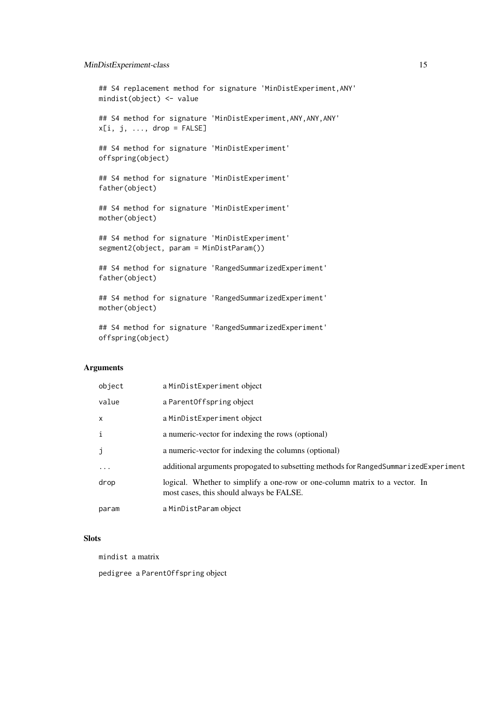#### MinDistExperiment-class 15

```
## S4 replacement method for signature 'MinDistExperiment, ANY'
mindist(object) <- value
## S4 method for signature 'MinDistExperiment,ANY,ANY,ANY'
x[i, j, ..., drop = FALSE]## S4 method for signature 'MinDistExperiment'
offspring(object)
## S4 method for signature 'MinDistExperiment'
father(object)
## S4 method for signature 'MinDistExperiment'
mother(object)
## S4 method for signature 'MinDistExperiment'
segment2(object, param = MinDistParam())
## S4 method for signature 'RangedSummarizedExperiment'
father(object)
## S4 method for signature 'RangedSummarizedExperiment'
mother(object)
## S4 method for signature 'RangedSummarizedExperiment'
```
## Arguments

offspring(object)

| object    | a MinDistExperiment object                                                                                              |
|-----------|-------------------------------------------------------------------------------------------------------------------------|
| value     | a Parent Offspring object                                                                                               |
| X         | a MinDistExperiment object                                                                                              |
| i         | a numeric-vector for indexing the rows (optional)                                                                       |
| j         | a numeric-vector for indexing the columns (optional)                                                                    |
| $\ddotsc$ | additional arguments propogated to subsetting methods for RangedSummarizedExperiment                                    |
| drop      | logical. Whether to simplify a one-row or one-column matrix to a vector. In<br>most cases, this should always be FALSE. |
| param     | a MinDistParam object                                                                                                   |

## **Slots**

mindist a matrix

pedigree a ParentOffspring object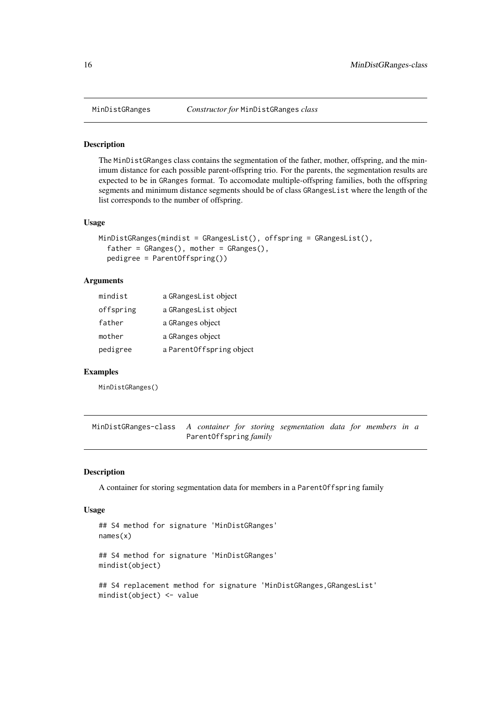The MinDistGRanges class contains the segmentation of the father, mother, offspring, and the minimum distance for each possible parent-offspring trio. For the parents, the segmentation results are expected to be in GRanges format. To accomodate multiple-offspring families, both the offspring segments and minimum distance segments should be of class GRangesList where the length of the list corresponds to the number of offspring.

#### Usage

```
MinDistGRanges(mindist = GRangesList(), offspring = GRangesList(),
  father = GRanges(), mother = GRanges(),
 pedigree = ParentOffspring())
```
#### Arguments

| mindist   | a GRangesList object     |
|-----------|--------------------------|
| offspring | a GRangesList object     |
| father    | a GRanges object         |
| mother    | a GRanges object         |
| pedigree  | a ParentOffspring object |

#### Examples

MinDistGRanges()

MinDistGRanges-class *A container for storing segmentation data for members in a* ParentOffspring *family*

#### Description

A container for storing segmentation data for members in a ParentOffspring family

#### Usage

```
## S4 method for signature 'MinDistGRanges'
names(x)
## S4 method for signature 'MinDistGRanges'
mindist(object)
## S4 replacement method for signature 'MinDistGRanges,GRangesList'
mindist(object) <- value
```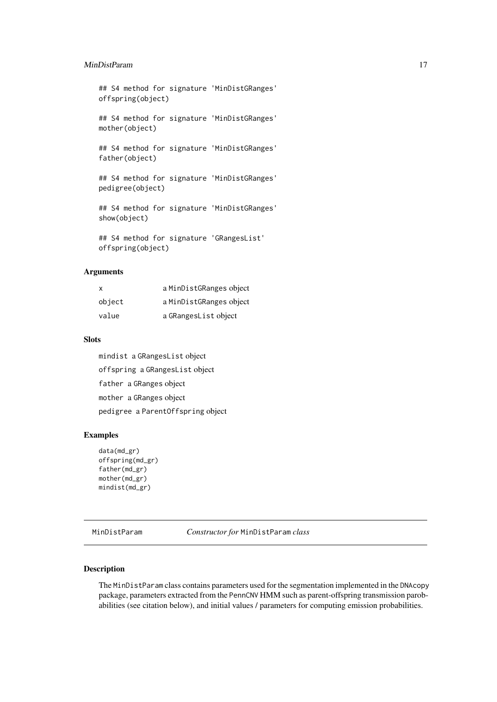#### <span id="page-16-0"></span>MinDistParam 17

## S4 method for signature 'MinDistGRanges' offspring(object)

## S4 method for signature 'MinDistGRanges' mother(object)

## S4 method for signature 'MinDistGRanges' father(object)

## S4 method for signature 'MinDistGRanges' pedigree(object)

## S4 method for signature 'MinDistGRanges' show(object)

## S4 method for signature 'GRangesList' offspring(object)

## Arguments

| x      | a MinDistGRanges object |
|--------|-------------------------|
| object | a MinDistGRanges object |
| value  | a GRangesList object    |

#### Slots

mindist a GRangesList object offspring a GRangesList object father a GRanges object mother a GRanges object pedigree a ParentOffspring object

#### Examples

```
data(md_gr)
offspring(md_gr)
father(md_gr)
mother(md_gr)
mindist(md_gr)
```
MinDistParam *Constructor for* MinDistParam *class*

## Description

The MinDistParam class contains parameters used for the segmentation implemented in the DNAcopy package, parameters extracted from the PennCNV HMM such as parent-offspring transmission parobabilities (see citation below), and initial values / parameters for computing emission probabilities.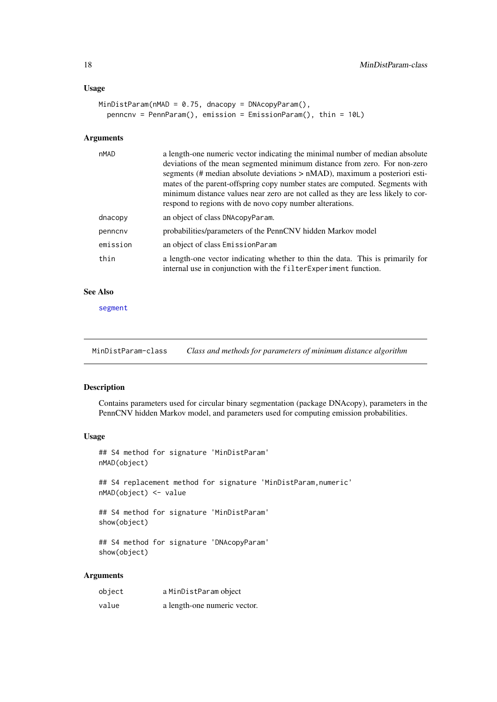## <span id="page-17-0"></span>Usage

```
MinDistParam(nMAD = 0.75, dnacopy = DNAcopyParam(),
 penncnv = PennParam(), emission = EmissionParam(), thin = 10L)
```
## Arguments

| nMAD     | a length-one numeric vector indicating the minimal number of median absolute                                                                       |
|----------|----------------------------------------------------------------------------------------------------------------------------------------------------|
|          | deviations of the mean segmented minimum distance from zero. For non-zero                                                                          |
|          | segments (# median absolute deviations > nMAD), maximum a posteriori esti-                                                                         |
|          | mates of the parent-offspring copy number states are computed. Segments with                                                                       |
|          | minimum distance values near zero are not called as they are less likely to cor-                                                                   |
|          | respond to regions with de novo copy number alterations.                                                                                           |
| dnacopy  | an object of class DNAcopyParam.                                                                                                                   |
| penncny  | probabilities/parameters of the PennCNV hidden Markov model                                                                                        |
| emission | an object of class EmissionParam                                                                                                                   |
| thin     | a length-one vector indicating whether to thin the data. This is primarily for<br>internal use in conjunction with the filter Experiment function. |

#### See Also

[segment](#page-0-0)

MinDistParam-class *Class and methods for parameters of minimum distance algorithm*

## Description

Contains parameters used for circular binary segmentation (package DNAcopy), parameters in the PennCNV hidden Markov model, and parameters used for computing emission probabilities.

## Usage

```
## S4 method for signature 'MinDistParam'
nMAD(object)
## S4 replacement method for signature 'MinDistParam,numeric'
nMAD(object) <- value
```
## S4 method for signature 'MinDistParam' show(object)

## S4 method for signature 'DNAcopyParam' show(object)

| object | a MinDistParam object        |
|--------|------------------------------|
| value  | a length-one numeric vector. |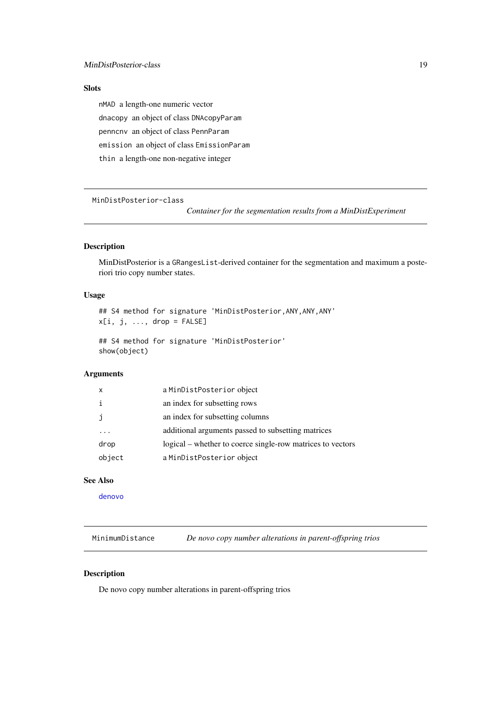#### <span id="page-18-0"></span>**Slots**

nMAD a length-one numeric vector dnacopy an object of class DNAcopyParam penncnv an object of class PennParam emission an object of class EmissionParam thin a length-one non-negative integer

MinDistPosterior-class

*Container for the segmentation results from a MinDistExperiment*

## Description

MinDistPosterior is a GRangesList-derived container for the segmentation and maximum a posteriori trio copy number states.

## Usage

```
## S4 method for signature 'MinDistPosterior, ANY, ANY, ANY'
x[i, j, ..., drop = FALSE]
```
## S4 method for signature 'MinDistPosterior' show(object)

## Arguments

| $\boldsymbol{\mathsf{x}}$ | a MinDistPosterior object                                  |
|---------------------------|------------------------------------------------------------|
| $\mathbf{i}$              | an index for subsetting rows                               |
| $\mathbf{J}$              | an index for subsetting columns                            |
|                           | additional arguments passed to subsetting matrices         |
| drop                      | logical – whether to coerce single-row matrices to vectors |
| object                    | a MinDistPosterior object                                  |

## See Also

[denovo](#page-4-1)

MinimumDistance *De novo copy number alterations in parent-offspring trios*

## Description

De novo copy number alterations in parent-offspring trios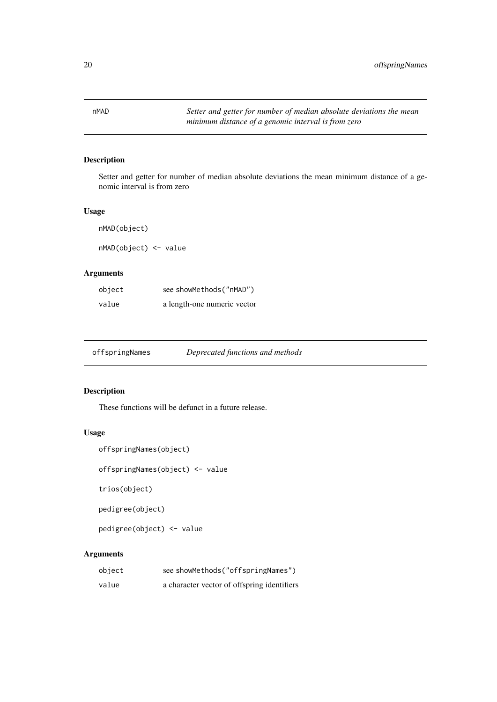<span id="page-19-0"></span>

Setter and getter for number of median absolute deviations the mean minimum distance of a genomic interval is from zero

## Usage

nMAD(object)

nMAD(object) <- value

## Arguments

| object | see showMethods("nMAD")     |
|--------|-----------------------------|
| value  | a length-one numeric vector |

| offspringNames | Deprecated functions and methods |
|----------------|----------------------------------|
|                |                                  |

## Description

These functions will be defunct in a future release.

## Usage

```
offspringNames(object)
```
offspringNames(object) <- value

trios(object)

pedigree(object)

pedigree(object) <- value

| object | see showMethods("offspringNames")           |
|--------|---------------------------------------------|
| value  | a character vector of offspring identifiers |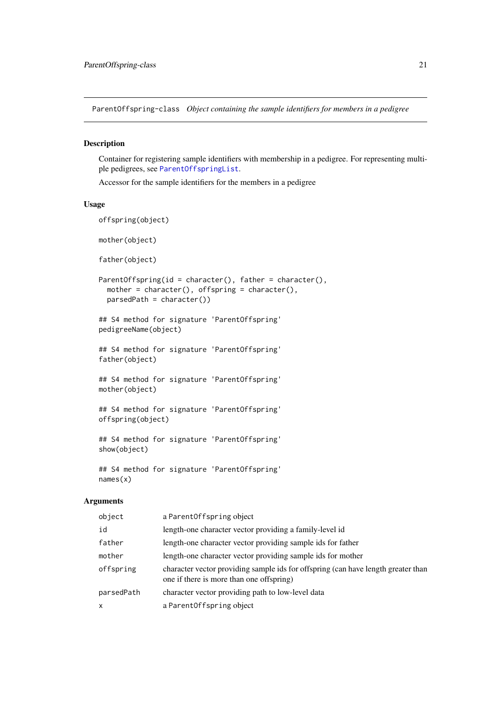<span id="page-20-1"></span><span id="page-20-0"></span>ParentOffspring-class *Object containing the sample identifiers for members in a pedigree*

#### Description

Container for registering sample identifiers with membership in a pedigree. For representing multiple pedigrees, see [ParentOffspringList](#page-21-1).

Accessor for the sample identifiers for the members in a pedigree

## Usage

```
offspring(object)
mother(object)
father(object)
ParentOffspring(id = character(), father = character(),
 mother = character(), offspring = character(),
 parsedPath = character())
## S4 method for signature 'ParentOffspring'
pedigreeName(object)
## S4 method for signature 'ParentOffspring'
father(object)
## S4 method for signature 'ParentOffspring'
mother(object)
## S4 method for signature 'ParentOffspring'
offspring(object)
## S4 method for signature 'ParentOffspring'
show(object)
```
## S4 method for signature 'ParentOffspring' names(x)

| object       | a ParentOffspring object                                                                                                      |
|--------------|-------------------------------------------------------------------------------------------------------------------------------|
| id           | length-one character vector providing a family-level id                                                                       |
| father       | length-one character vector providing sample ids for father                                                                   |
| mother       | length-one character vector providing sample ids for mother                                                                   |
| offspring    | character vector providing sample ids for offspring (can have length greater than<br>one if there is more than one offspring) |
| parsedPath   | character vector providing path to low-level data                                                                             |
| $\mathsf{x}$ | a Parent Offspring object                                                                                                     |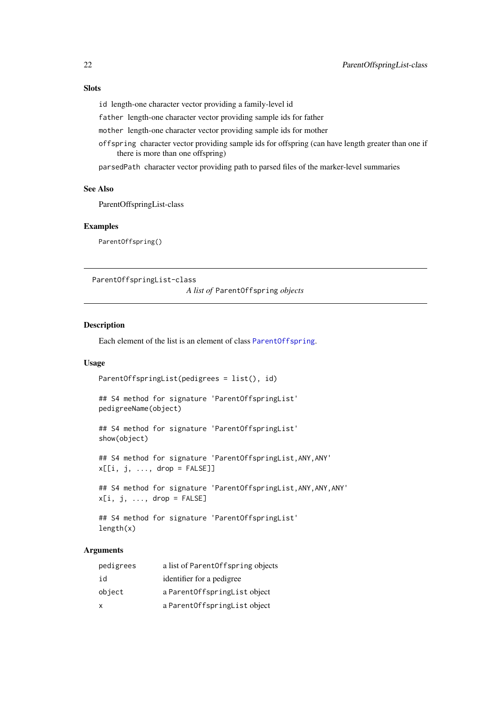## <span id="page-21-0"></span>Slots

id length-one character vector providing a family-level id

father length-one character vector providing sample ids for father

mother length-one character vector providing sample ids for mother

offspring character vector providing sample ids for offspring (can have length greater than one if there is more than one offspring)

parsedPath character vector providing path to parsed files of the marker-level summaries

## See Also

ParentOffspringList-class

#### Examples

ParentOffspring()

<span id="page-21-1"></span>ParentOffspringList-class

*A list of* ParentOffspring *objects*

#### Description

Each element of the list is an element of class [ParentOffspring](#page-20-1).

#### Usage

```
ParentOffspringList(pedigrees = list(), id)
```

```
## S4 method for signature 'ParentOffspringList'
pedigreeName(object)
```

```
## S4 method for signature 'ParentOffspringList'
show(object)
```
## S4 method for signature 'ParentOffspringList,ANY,ANY'  $x[[i, j, ..., drop = FALSE]]$ 

## S4 method for signature 'ParentOffspringList, ANY, ANY, ANY'  $x[i, j, \ldots, drop = FALSE]$ 

```
## S4 method for signature 'ParentOffspringList'
length(x)
```

| pedigrees | a list of ParentOffspring objects |
|-----------|-----------------------------------|
| id        | identifier for a pedigree         |
| object    | a Parent Offspring List object    |
| x         | a Parent Offspring List object    |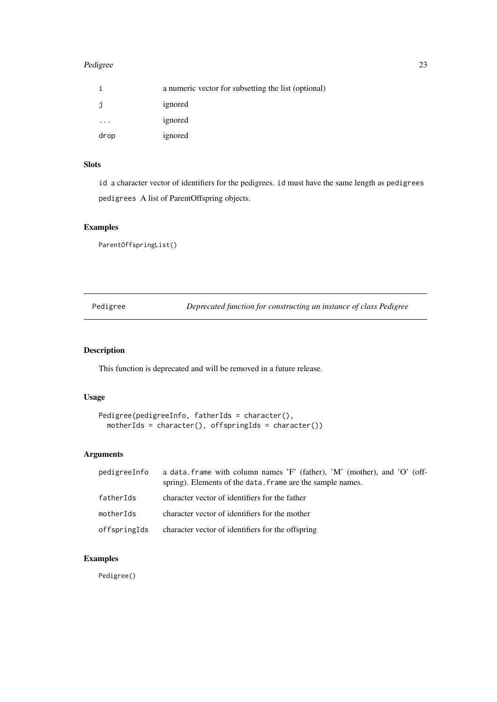#### <span id="page-22-0"></span>Pedigree 23

|      | a numeric vector for subsetting the list (optional) |
|------|-----------------------------------------------------|
| J    | ignored                                             |
|      | ignored                                             |
| drop | ignored                                             |

## Slots

id a character vector of identifiers for the pedigrees. id must have the same length as pedigrees pedigrees A list of ParentOffspring objects.

## Examples

ParentOffspringList()

Pedigree *Deprecated function for constructing an instance of class Pedigree*

## Description

This function is deprecated and will be removed in a future release.

## Usage

```
Pedigree(pedigreeInfo, fatherIds = character(),
  motherIds = character(), offspringIds = character())
```
## Arguments

| pedigreeInfo | a data frame with column names $F'$ (father), $M'$ (mother), and $O'$ (off-<br>spring). Elements of the data. frame are the sample names. |
|--------------|-------------------------------------------------------------------------------------------------------------------------------------------|
| fatherIds    | character vector of identifiers for the father                                                                                            |
| motherIds    | character vector of identifiers for the mother                                                                                            |
| offspringIds | character vector of identifiers for the offspring                                                                                         |

## Examples

Pedigree()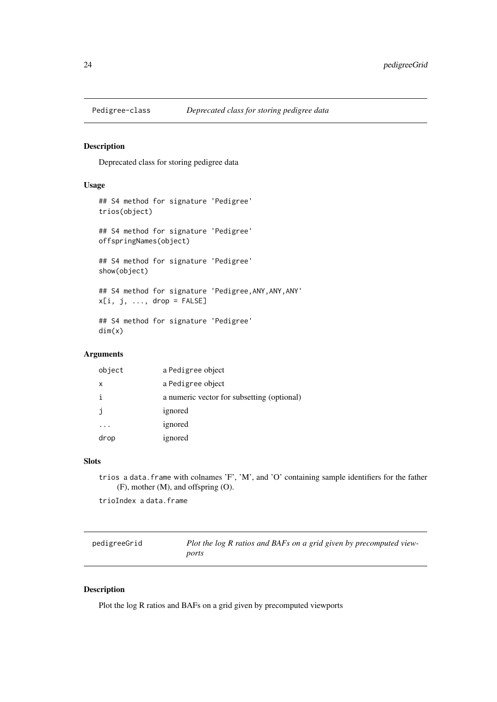<span id="page-23-0"></span>

Deprecated class for storing pedigree data

## Usage

```
## S4 method for signature 'Pedigree'
trios(object)
## S4 method for signature 'Pedigree'
offspringNames(object)
## S4 method for signature 'Pedigree'
show(object)
## S4 method for signature 'Pedigree,ANY,ANY,ANY'
x[i, j, ..., drop = FALSE]## S4 method for signature 'Pedigree'
dim(x)
```
## Arguments

| object | a Pedigree object                          |
|--------|--------------------------------------------|
| х      | a Pedigree object                          |
| i      | a numeric vector for subsetting (optional) |
|        | ignored                                    |
|        | ignored                                    |
| drop   | ignored                                    |

#### Slots

trios a data.frame with colnames 'F', 'M', and 'O' containing sample identifiers for the father (F), mother (M), and offspring (O).

trioIndex a data.frame

<span id="page-23-1"></span>

| pedigreeGrid | Plot the log R ratios and BAFs on a grid given by precomputed view- |
|--------------|---------------------------------------------------------------------|
|              | ports                                                               |

## Description

Plot the log R ratios and BAFs on a grid given by precomputed viewports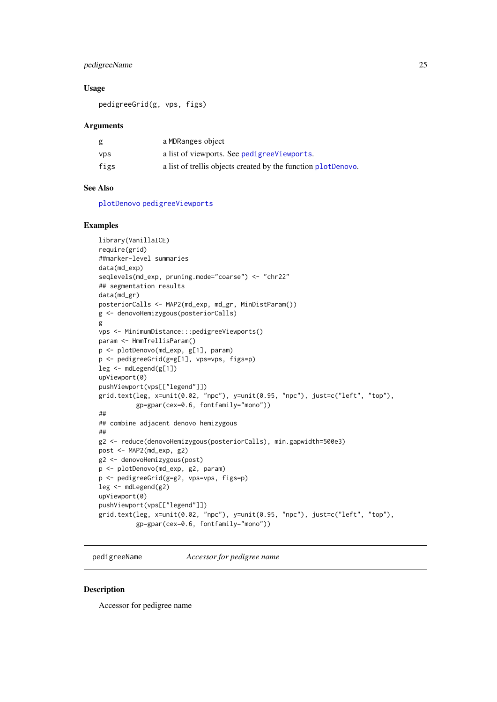#### <span id="page-24-0"></span>pedigreeName 25

#### Usage

pedigreeGrid(g, vps, figs)

#### Arguments

| g          | a MDRanges object                                             |
|------------|---------------------------------------------------------------|
| <b>VDS</b> | a list of viewports. See pedigree Viewports.                  |
| figs       | a list of trellis objects created by the function plotDenovo. |

## See Also

[plotDenovo](#page-26-1) [pedigreeViewports](#page-25-1)

## Examples

```
library(VanillaICE)
require(grid)
##marker-level summaries
data(md_exp)
seqlevels(md_exp, pruning.mode="coarse") <- "chr22"
## segmentation results
data(md_gr)
posteriorCalls <- MAP2(md_exp, md_gr, MinDistParam())
g <- denovoHemizygous(posteriorCalls)
g
vps <- MinimumDistance:::pedigreeViewports()
param <- HmmTrellisParam()
p <- plotDenovo(md_exp, g[1], param)
p <- pedigreeGrid(g=g[1], vps=vps, figs=p)
leg <- mdLegend(g[1])
upViewport(0)
pushViewport(vps[["legend"]])
grid.text(leg, x=unit(0.02, "npc"), y=unit(0.95, "npc"), just=c("left", "top"),
          gp=gpar(cex=0.6, fontfamily="mono"))
##
## combine adjacent denovo hemizygous
##
g2 <- reduce(denovoHemizygous(posteriorCalls), min.gapwidth=500e3)
post <- MAP2(md_exp, g2)
g2 <- denovoHemizygous(post)
p <- plotDenovo(md_exp, g2, param)
p <- pedigreeGrid(g=g2, vps=vps, figs=p)
leg <- mdLegend(g2)
upViewport(0)
pushViewport(vps[["legend"]])
grid.text(leg, x=unit(0.02, "npc"), y=unit(0.95, "npc"), just=c("left", "top"),
          gp=gpar(cex=0.6, fontfamily="mono"))
```
pedigreeName *Accessor for pedigree name*

#### Description

Accessor for pedigree name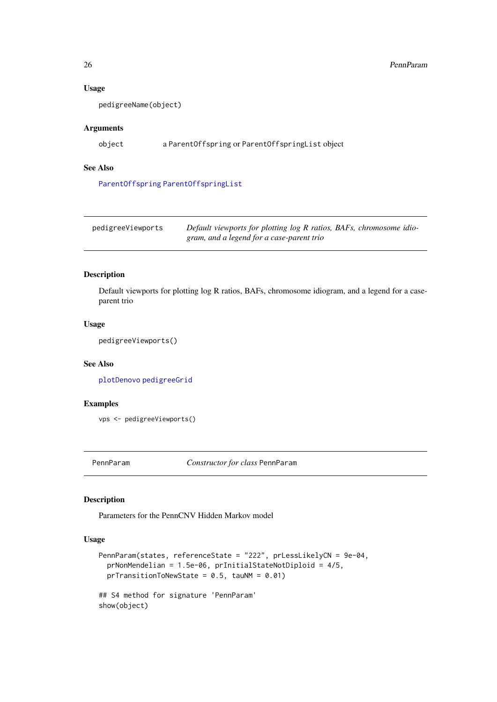## Usage

pedigreeName(object)

#### Arguments

object a ParentOffspring or ParentOffspringList object

## See Also

[ParentOffspring](#page-20-1) [ParentOffspringList](#page-21-1)

<span id="page-25-1"></span>

| pedigreeViewports | Default viewports for plotting log R ratios, BAFs, chromosome idio- |
|-------------------|---------------------------------------------------------------------|
|                   | gram, and a legend for a case-parent trio                           |

## Description

Default viewports for plotting log R ratios, BAFs, chromosome idiogram, and a legend for a caseparent trio

## Usage

pedigreeViewports()

## See Also

[plotDenovo](#page-26-1) [pedigreeGrid](#page-23-1)

#### Examples

```
vps <- pedigreeViewports()
```
PennParam *Constructor for class* PennParam

## Description

Parameters for the PennCNV Hidden Markov model

## Usage

```
PennParam(states, referenceState = "222", prLessLikelyCN = 9e-04,
 prNonMendelian = 1.5e-06, prInitialStateNotDiploid = 4/5,
 prTransitionToNewState = 0.5, tau = 0.01)
## S4 method for signature 'PennParam'
```
show(object)

<span id="page-25-0"></span>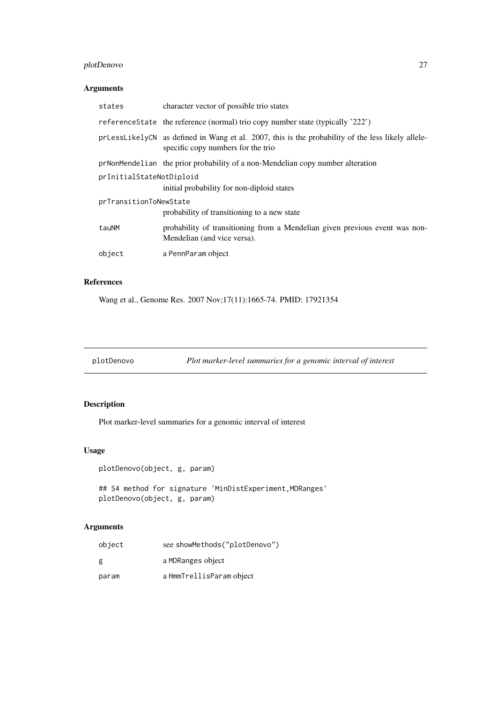## <span id="page-26-0"></span>plotDenovo 27

## Arguments

| states                   | character vector of possible trio states                                                                                                |  |
|--------------------------|-----------------------------------------------------------------------------------------------------------------------------------------|--|
|                          | referenceState the reference (normal) trio copy number state (typically '222')                                                          |  |
|                          | prLessLikelyCN as defined in Wang et al. 2007, this is the probability of the less likely allele-<br>specific copy numbers for the trio |  |
|                          | prNonMendelian the prior probability of a non-Mendelian copy number alteration                                                          |  |
| prInitialStateNotDiploid |                                                                                                                                         |  |
|                          | initial probability for non-diploid states                                                                                              |  |
| prTransitionToNewState   |                                                                                                                                         |  |
|                          | probability of transitioning to a new state                                                                                             |  |
| tauNM                    | probability of transitioning from a Mendelian given previous event was non-<br>Mendelian (and vice versa).                              |  |
| object                   | a PennParam object                                                                                                                      |  |
|                          |                                                                                                                                         |  |

## References

Wang et al., Genome Res. 2007 Nov;17(11):1665-74. PMID: 17921354

<span id="page-26-1"></span>plotDenovo *Plot marker-level summaries for a genomic interval of interest*

## Description

Plot marker-level summaries for a genomic interval of interest

## Usage

plotDenovo(object, g, param)

## S4 method for signature 'MinDistExperiment, MDRanges' plotDenovo(object, g, param)

| object | see showMethods("plotDenovo") |
|--------|-------------------------------|
| g      | a MDRanges object             |
| param  | a HmmTrellisParam object      |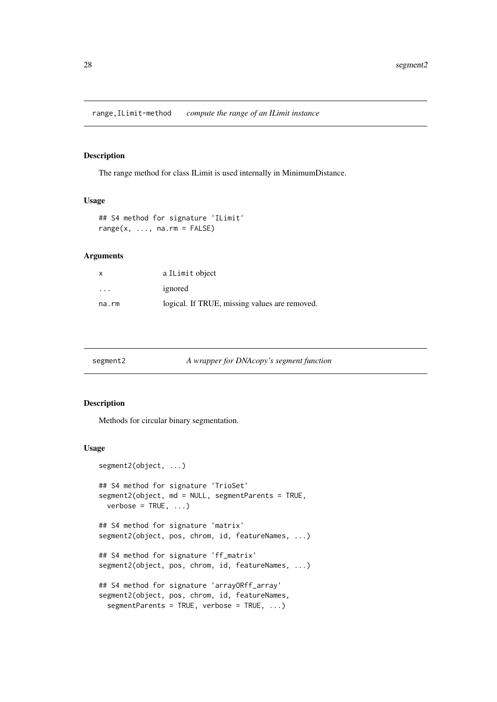<span id="page-27-0"></span>range,ILimit-method *compute the range of an ILimit instance*

## Description

The range method for class ILimit is used internally in MinimumDistance.

#### Usage

```
## S4 method for signature 'ILimit'
range(x, ..., na.rm = FALSE)
```
#### Arguments

| X        | a ILimit object                               |
|----------|-----------------------------------------------|
| $\cdots$ | ignored                                       |
| na.rm    | logical. If TRUE, missing values are removed. |

| segment2 | A wrapper for DNAcopy's segment function |  |
|----------|------------------------------------------|--|
|          |                                          |  |

## Description

Methods for circular binary segmentation.

#### Usage

```
segment2(object, ...)
## S4 method for signature 'TrioSet'
segment2(object, md = NULL, segmentParents = TRUE,
 verbose = TRUE, ...)## S4 method for signature 'matrix'
segment2(object, pos, chrom, id, featureNames, ...)
## S4 method for signature 'ff_matrix'
segment2(object, pos, chrom, id, featureNames, ...)
## S4 method for signature 'arrayORff_array'
segment2(object, pos, chrom, id, featureNames,
 segmentParents = TRUE, verbose = TRUE, ...)
```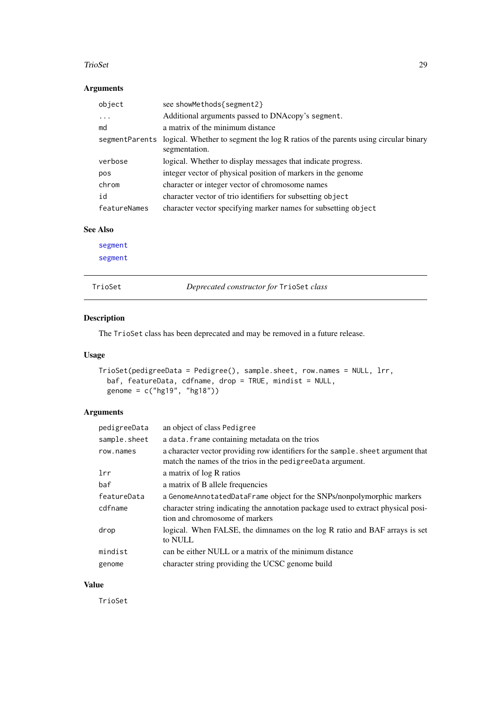#### <span id="page-28-0"></span>TrioSet 29

#### Arguments

| object         | see showMethods{segment2}                                                                          |
|----------------|----------------------------------------------------------------------------------------------------|
| .              | Additional arguments passed to DNAcopy's segment.                                                  |
| md             | a matrix of the minimum distance                                                                   |
| segmentParents | logical. Whether to segment the log R ratios of the parents using circular binary<br>segmentation. |
| verbose        | logical. Whether to display messages that indicate progress.                                       |
| pos            | integer vector of physical position of markers in the genome                                       |
| chrom          | character or integer vector of chromosome names                                                    |
| id             | character vector of trio identifiers for subsetting object                                         |
| featureNames   | character vector specifying marker names for subsetting object                                     |

#### See Also

[segment](#page-0-0) [segment](#page-0-0)

TrioSet *Deprecated constructor for* TrioSet *class*

## Description

The TrioSet class has been deprecated and may be removed in a future release.

## Usage

```
TrioSet(pedigreeData = Pedigree(), sample.sheet, row.names = NULL, lrr,
  baf, featureData, cdfname, drop = TRUE, mindist = NULL,
  genome = c("hg19", "hg18")
```
## Arguments

| pedigreeData | an object of class Pedigree                                                                                                                    |
|--------------|------------------------------------------------------------------------------------------------------------------------------------------------|
| sample.sheet | a data. frame containing metadata on the trios                                                                                                 |
| row.names    | a character vector providing row identifiers for the sample, sheet argument that<br>match the names of the trios in the pedigreeData argument. |
| 1rr          | a matrix of log R ratios                                                                                                                       |
| baf          | a matrix of B allele frequencies                                                                                                               |
| featureData  | a GenomeAnnotatedDataFrame object for the SNPs/nonpolymorphic markers                                                                          |
| cdfname      | character string indicating the annotation package used to extract physical posi-<br>tion and chromosome of markers                            |
| drop         | logical. When FALSE, the dimnames on the log R ratio and BAF arrays is set<br>to NULL                                                          |
| mindist      | can be either NULL or a matrix of the minimum distance                                                                                         |
| genome       | character string providing the UCSC genome build                                                                                               |

## Value

TrioSet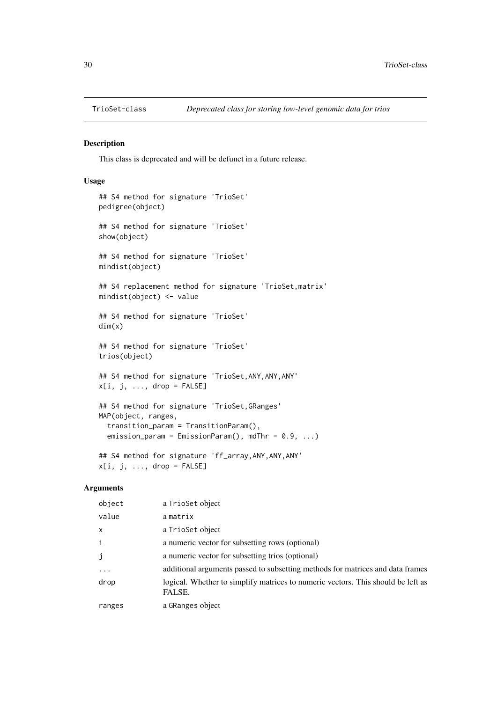<span id="page-29-0"></span>

This class is deprecated and will be defunct in a future release.

## Usage

```
## S4 method for signature 'TrioSet'
pedigree(object)
## S4 method for signature 'TrioSet'
show(object)
## S4 method for signature 'TrioSet'
mindist(object)
## S4 replacement method for signature 'TrioSet,matrix'
mindist(object) <- value
## S4 method for signature 'TrioSet'
dim(x)
## S4 method for signature 'TrioSet'
trios(object)
## S4 method for signature 'TrioSet,ANY,ANY,ANY'
x[i, j, ..., drop = FALSE]## S4 method for signature 'TrioSet,GRanges'
MAP(object, ranges,
  transition_param = TransitionParam(),
 emission_param = EmissionParam(), mdThr = 0.9, ...)
## S4 method for signature 'ff_array,ANY,ANY,ANY'
```
 $x[i, j, ..., drop = FALSE]$ 

| object            | a TrioSet object                                                                           |
|-------------------|--------------------------------------------------------------------------------------------|
| value             | amatrix                                                                                    |
| $\times$          | a TrioSet object                                                                           |
| $\mathbf{i}$      | a numeric vector for subsetting rows (optional)                                            |
| j                 | a numeric vector for subsetting trios (optional)                                           |
| $\cdot\cdot\cdot$ | additional arguments passed to subsetting methods for matrices and data frames             |
| drop              | logical. Whether to simplify matrices to numeric vectors. This should be left as<br>FALSE. |
| ranges            | a GRanges object                                                                           |
|                   |                                                                                            |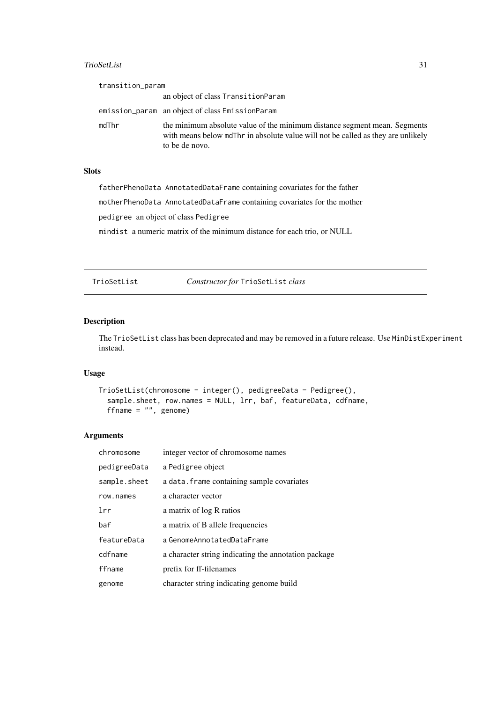#### <span id="page-30-0"></span>TrioSetList 31

| transition_param |                                                                                                                                                                                 |
|------------------|---------------------------------------------------------------------------------------------------------------------------------------------------------------------------------|
|                  | an object of class TransitionParam                                                                                                                                              |
|                  | emission_param an object of class EmissionParam                                                                                                                                 |
| mdThr            | the minimum absolute value of the minimum distance segment mean. Segments<br>with means below mdThr in absolute value will not be called as they are unlikely<br>to be de novo. |

## **Slots**

fatherPhenoData AnnotatedDataFrame containing covariates for the father

motherPhenoData AnnotatedDataFrame containing covariates for the mother

pedigree an object of class Pedigree

mindist a numeric matrix of the minimum distance for each trio, or NULL

TrioSetList *Constructor for* TrioSetList *class*

## Description

The TrioSetList class has been deprecated and may be removed in a future release. Use MinDistExperiment instead.

## Usage

```
TrioSetList(chromosome = integer(), pedigreeData = Pedigree(),
  sample.sheet, row.names = NULL, lrr, baf, featureData, cdfname,
 ffname = "", genome)
```

| chromosome   | integer vector of chromosome names                   |
|--------------|------------------------------------------------------|
| pedigreeData | a Pedigree object                                    |
| sample.sheet | a data. frame containing sample covariates           |
| row.names    | a character vector                                   |
| 1rr          | a matrix of log R ratios                             |
| baf          | a matrix of B allele frequencies                     |
| featureData  | a GenomeAnnotatedDataFrame                           |
| cdfname      | a character string indicating the annotation package |
| ffname       | prefix for ff-filenames                              |
| genome       | character string indicating genome build             |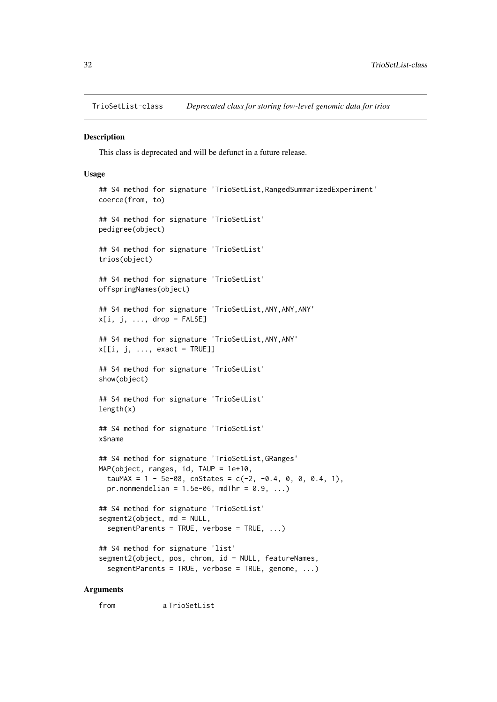<span id="page-31-1"></span><span id="page-31-0"></span>TrioSetList-class *Deprecated class for storing low-level genomic data for trios*

#### Description

This class is deprecated and will be defunct in a future release.

#### Usage

```
## S4 method for signature 'TrioSetList, RangedSummarizedExperiment'
coerce(from, to)
## S4 method for signature 'TrioSetList'
pedigree(object)
## S4 method for signature 'TrioSetList'
trios(object)
## S4 method for signature 'TrioSetList'
offspringNames(object)
## S4 method for signature 'TrioSetList,ANY,ANY,ANY'
x[i, j, ..., drop = FALSE]## S4 method for signature 'TrioSetList,ANY,ANY'
x[[i, j, ..., exact = TRUE]]## S4 method for signature 'TrioSetList'
show(object)
## S4 method for signature 'TrioSetList'
length(x)
## S4 method for signature 'TrioSetList'
x$name
## S4 method for signature 'TrioSetList, GRanges'
MAP(object, ranges, id, TAUP = 1e+10,
  tauMAX = 1 - 5e-08, cnStates = c(-2, -0.4, 0, 0, 0.4, 1),
 pr.nonmendelian = 1.5e-06, mdThr = 0.9, ...## S4 method for signature 'TrioSetList'
segment2(object, md = NULL,
  segmentParents = TRUE, verbose = TRUE, ...)
## S4 method for signature 'list'
segment2(object, pos, chrom, id = NULL, featureNames,
  segmentParents = TRUE, verbose = TRUE, genome, ...)
```
## Arguments

from a TrioSetList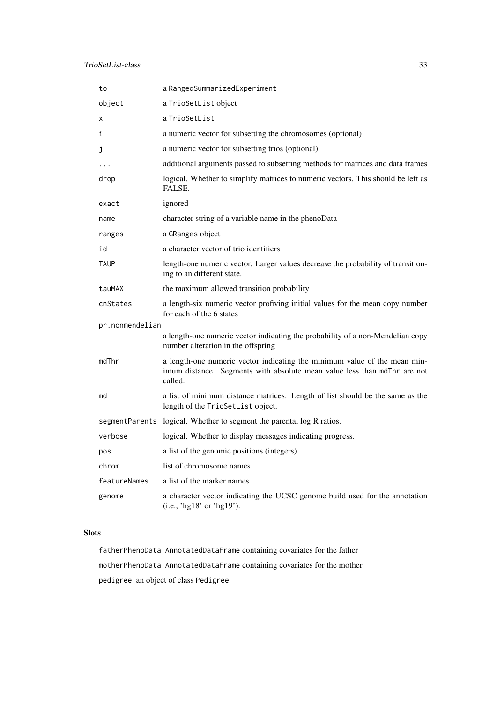| to              | a RangedSummarizedExperiment                                                                                                                                     |
|-----------------|------------------------------------------------------------------------------------------------------------------------------------------------------------------|
| object          | a TrioSetList object                                                                                                                                             |
| х               | a TrioSetList                                                                                                                                                    |
| i               | a numeric vector for subsetting the chromosomes (optional)                                                                                                       |
| Ĵ               | a numeric vector for subsetting trios (optional)                                                                                                                 |
| .               | additional arguments passed to subsetting methods for matrices and data frames                                                                                   |
| drop            | logical. Whether to simplify matrices to numeric vectors. This should be left as<br>FALSE.                                                                       |
| exact           | ignored                                                                                                                                                          |
| name            | character string of a variable name in the phenoData                                                                                                             |
| ranges          | a GRanges object                                                                                                                                                 |
| id              | a character vector of trio identifiers                                                                                                                           |
| <b>TAUP</b>     | length-one numeric vector. Larger values decrease the probability of transition-<br>ing to an different state.                                                   |
| tauMAX          | the maximum allowed transition probability                                                                                                                       |
| cnStates        | a length-six numeric vector profiving initial values for the mean copy number<br>for each of the 6 states                                                        |
| pr.nonmendelian |                                                                                                                                                                  |
|                 | a length-one numeric vector indicating the probability of a non-Mendelian copy<br>number alteration in the offspring                                             |
| mdThr           | a length-one numeric vector indicating the minimum value of the mean min-<br>imum distance. Segments with absolute mean value less than mdThr are not<br>called. |
| md              | a list of minimum distance matrices. Length of list should be the same as the<br>length of the TrioSetList object.                                               |
|                 | segmentParents logical. Whether to segment the parental log R ratios.                                                                                            |
| verbose         | logical. Whether to display messages indicating progress.                                                                                                        |
| pos             | a list of the genomic positions (integers)                                                                                                                       |
| chrom           | list of chromosome names                                                                                                                                         |
| featureNames    | a list of the marker names                                                                                                                                       |
| genome          | a character vector indicating the UCSC genome build used for the annotation<br>(i.e., 'hg $18'$ or 'hg $19'$ ).                                                  |

## Slots

fatherPhenoData AnnotatedDataFrame containing covariates for the father motherPhenoData AnnotatedDataFrame containing covariates for the mother pedigree an object of class Pedigree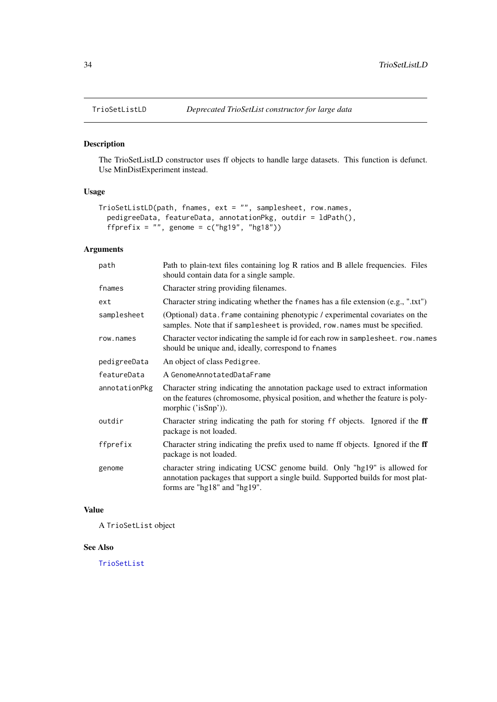<span id="page-33-0"></span>

The TrioSetListLD constructor uses ff objects to handle large datasets. This function is defunct. Use MinDistExperiment instead.

## Usage

```
TrioSetListLD(path, fnames, ext = "", samplesheet, row.names,
  pedigreeData, featureData, annotationPkg, outdir = ldPath(),
  ffprefix = ", genome = c("hg19", "hg18"))
```
## Arguments

| path          | Path to plain-text files containing log R ratios and B allele frequencies. Files<br>should contain data for a single sample.                                                                  |
|---------------|-----------------------------------------------------------------------------------------------------------------------------------------------------------------------------------------------|
| fnames        | Character string providing filenames.                                                                                                                                                         |
| ext           | Character string indicating whether the fnames has a file extension (e.g., ".txt")                                                                                                            |
| samplesheet   | (Optional) data. frame containing phenotypic / experimental covariates on the<br>samples. Note that if samplesheet is provided, row.names must be specified.                                  |
| row.names     | Character vector indicating the sample id for each row in sample sheet. row.names<br>should be unique and, ideally, correspond to fnames                                                      |
| pedigreeData  | An object of class Pedigree.                                                                                                                                                                  |
| featureData   | A GenomeAnnotatedDataFrame                                                                                                                                                                    |
| annotationPkg | Character string indicating the annotation package used to extract information<br>on the features (chromosome, physical position, and whether the feature is poly-<br>morphic ('isSnp')).     |
| outdir        | Character string indicating the path for storing ff objects. Ignored if the ff<br>package is not loaded.                                                                                      |
| ffprefix      | Character string indicating the prefix used to name ff objects. Ignored if the ff<br>package is not loaded.                                                                                   |
| genome        | character string indicating UCSC genome build. Only "hg19" is allowed for<br>annotation packages that support a single build. Supported builds for most plat-<br>forms are "hg18" and "hg19". |
|               |                                                                                                                                                                                               |

## Value

A TrioSetList object

#### See Also

[TrioSetList](#page-31-1)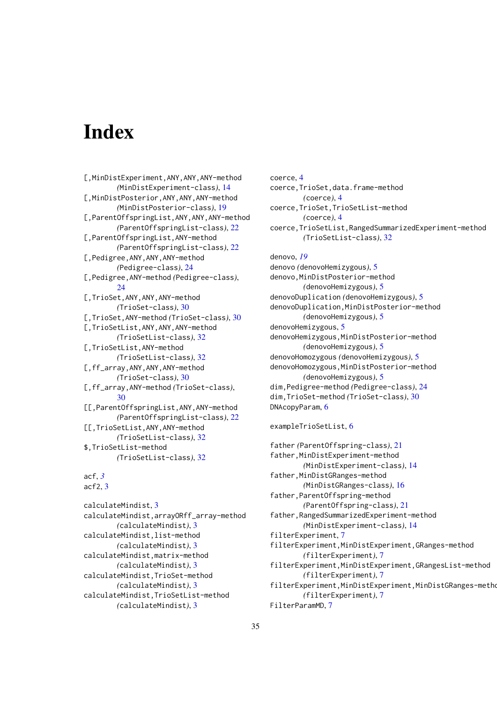# <span id="page-34-0"></span>Index

[,MinDistExperiment,ANY,ANY,ANY-method *(*MinDistExperiment-class*)*, [14](#page-13-0) [,MinDistPosterior,ANY,ANY,ANY-method *(*MinDistPosterior-class*)*, [19](#page-18-0) [,ParentOffspringList,ANY,ANY,ANY-method *(*ParentOffspringList-class*)*, [22](#page-21-0) [,ParentOffspringList,ANY-method *(*ParentOffspringList-class*)*, [22](#page-21-0) [,Pedigree,ANY,ANY,ANY-method *(*Pedigree-class*)*, [24](#page-23-0) [,Pedigree,ANY-method *(*Pedigree-class*)*, [24](#page-23-0) [,TrioSet,ANY,ANY,ANY-method *(*TrioSet-class*)*, [30](#page-29-0) [,TrioSet,ANY-method *(*TrioSet-class*)*, [30](#page-29-0) [,TrioSetList,ANY,ANY,ANY-method *(*TrioSetList-class*)*, [32](#page-31-0) [,TrioSetList,ANY-method *(*TrioSetList-class*)*, [32](#page-31-0) [,ff\_array,ANY,ANY,ANY-method *(*TrioSet-class*)*, [30](#page-29-0) [,ff\_array,ANY-method *(*TrioSet-class*)*, [30](#page-29-0) [[,ParentOffspringList,ANY,ANY-method *(*ParentOffspringList-class*)*, [22](#page-21-0) [[,TrioSetList,ANY,ANY-method *(*TrioSetList-class*)*, [32](#page-31-0) \$,TrioSetList-method *(*TrioSetList-class*)*, [32](#page-31-0)

acf, *[3](#page-2-0)* acf2, [3](#page-2-0)

calculateMindist, [3](#page-2-0) calculateMindist,arrayORff\_array-method *(*calculateMindist*)*, [3](#page-2-0) calculateMindist,list-method *(*calculateMindist*)*, [3](#page-2-0) calculateMindist,matrix-method *(*calculateMindist*)*, [3](#page-2-0) calculateMindist,TrioSet-method *(*calculateMindist*)*, [3](#page-2-0) calculateMindist,TrioSetList-method *(*calculateMindist*)*, [3](#page-2-0)

coerce, [4](#page-3-0) coerce,TrioSet,data.frame-method *(*coerce*)*, [4](#page-3-0) coerce,TrioSet,TrioSetList-method *(*coerce*)*, [4](#page-3-0) coerce,TrioSetList,RangedSummarizedExperiment-method *(*TrioSetList-class*)*, [32](#page-31-0) denovo, *[19](#page-18-0)*

denovo *(*denovoHemizygous*)*, [5](#page-4-0) denovo,MinDistPosterior-method *(*denovoHemizygous*)*, [5](#page-4-0) denovoDuplication *(*denovoHemizygous*)*, [5](#page-4-0) denovoDuplication,MinDistPosterior-method *(*denovoHemizygous*)*, [5](#page-4-0) denovoHemizygous, [5](#page-4-0) denovoHemizygous,MinDistPosterior-method *(*denovoHemizygous*)*, [5](#page-4-0) denovoHomozygous *(*denovoHemizygous*)*, [5](#page-4-0) denovoHomozygous,MinDistPosterior-method *(*denovoHemizygous*)*, [5](#page-4-0) dim,Pedigree-method *(*Pedigree-class*)*, [24](#page-23-0) dim,TrioSet-method *(*TrioSet-class*)*, [30](#page-29-0) DNAcopyParam, [6](#page-5-0)

#### exampleTrioSetList, [6](#page-5-0)

```
father (ParentOffspring-class), 21
father,MinDistExperiment-method
        (MinDistExperiment-class), 14
father, MinDistGRanges-method
        (MinDistGRanges-class), 16
father,ParentOffspring-method
        (ParentOffspring-class), 21
father,RangedSummarizedExperiment-method
        (MinDistExperiment-class), 14
filterExperiment, 7
filterExperiment,MinDistExperiment,GRanges-method
        (filterExperiment), 7
filterExperiment,MinDistExperiment,GRangesList-method
        (filterExperiment), 7
filterExperiment,MinDistExperiment,MinDistGRanges-metho
        (filterExperiment), 7
FilterParamMD, 7
```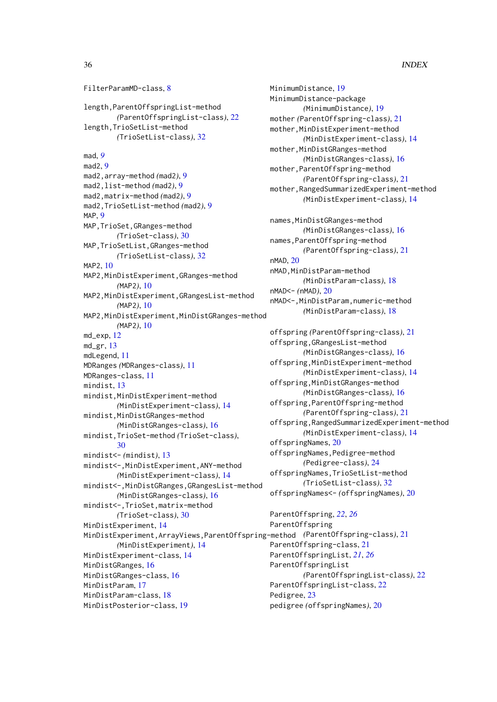#### 36 INDEX

FilterParamMD-class, [8](#page-7-0) length,ParentOffspringList-method *(*ParentOffspringList-class*)*, [22](#page-21-0) length,TrioSetList-method *(*TrioSetList-class*)*, [32](#page-31-0) mad, *[9](#page-8-0)* mad2, [9](#page-8-0) mad2,array-method *(*mad2*)*, [9](#page-8-0) mad2,list-method *(*mad2*)*, [9](#page-8-0) mad2,matrix-method *(*mad2*)*, [9](#page-8-0) mad2,TrioSetList-method *(*mad2*)*, [9](#page-8-0) MAP<sub>.</sub> [9](#page-8-0) MAP,TrioSet,GRanges-method *(*TrioSet-class*)*, [30](#page-29-0) MAP,TrioSetList,GRanges-method *(*TrioSetList-class*)*, [32](#page-31-0) MAP2, [10](#page-9-0) MAP2,MinDistExperiment,GRanges-method *(*MAP2*)*, [10](#page-9-0) MAP2,MinDistExperiment,GRangesList-method *(*MAP2*)*, [10](#page-9-0) MAP2,MinDistExperiment,MinDistGRanges-method *(*MAP2*)*, [10](#page-9-0) md\_exp, [12](#page-11-0)  $md\_gr$ ,  $13$ mdLegend, [11](#page-10-0) MDRanges *(*MDRanges-class*)*, [11](#page-10-0) MDRanges-class, [11](#page-10-0) mindist, [13](#page-12-0) mindist,MinDistExperiment-method *(*MinDistExperiment-class*)*, [14](#page-13-0) mindist,MinDistGRanges-method *(*MinDistGRanges-class*)*, [16](#page-15-0) mindist,TrioSet-method *(*TrioSet-class*)*, [30](#page-29-0) mindist<- *(*mindist*)*, [13](#page-12-0) mindist<-,MinDistExperiment,ANY-method *(*MinDistExperiment-class*)*, [14](#page-13-0) mindist<-,MinDistGRanges,GRangesList-method *(*MinDistGRanges-class*)*, [16](#page-15-0) mindist<-,TrioSet,matrix-method *(*TrioSet-class*)*, [30](#page-29-0) MinDistExperiment, [14](#page-13-0) MinDistExperiment,ArrayViews,ParentOffspring-method *(*ParentOffspring-class*)*, [21](#page-20-0) *(*MinDistExperiment*)*, [14](#page-13-0) MinDistExperiment-class, [14](#page-13-0) MinDistGRanges, [16](#page-15-0) MinDistGRanges-class, [16](#page-15-0) MinDistParam, [17](#page-16-0) MinDistParam-class, [18](#page-17-0) MinDistPosterior-class, [19](#page-18-0)

```
MinimumDistance, 19
MinimumDistance-package
        (MinimumDistance), 19
mother (ParentOffspring-class), 21
mother,MinDistExperiment-method
        (MinDistExperiment-class), 14
mother, MinDistGRanges-method
        (MinDistGRanges-class), 16
mother,ParentOffspring-method
        (ParentOffspring-class), 21
mother,RangedSummarizedExperiment-method
        (MinDistExperiment-class), 14
names,MinDistGRanges-method
        (MinDistGRanges-class), 16
names,ParentOffspring-method
        (ParentOffspring-class), 21
nMAD, 20
nMAD,MinDistParam-method
        (MinDistParam-class), 18
nMAD<- (nMAD), 20
nMAD<-,MinDistParam,numeric-method
        (MinDistParam-class), 18
offspring (ParentOffspring-class), 21
offspring,GRangesList-method
        (MinDistGRanges-class), 16
offspring,MinDistExperiment-method
        (MinDistExperiment-class), 14
offspring,MinDistGRanges-method
        (MinDistGRanges-class), 16
offspring,ParentOffspring-method
        (ParentOffspring-class), 21
offspring,RangedSummarizedExperiment-method
        (MinDistExperiment-class), 14
offspringNames, 20
offspringNames,Pedigree-method
        (Pedigree-class), 24
offspringNames,TrioSetList-method
        (TrioSetList-class), 32
offspringNames<- (offspringNames), 20
ParentOffspring, 22, 26
ParentOffspring
ParentOffspring-class, 21
```
ParentOffspringList, *[21](#page-20-0)*, *[26](#page-25-0)* ParentOffspringList

Pedigree, [23](#page-22-0)

ParentOffspringList-class, [22](#page-21-0)

pedigree *(*offspringNames*)*, [20](#page-19-0)

*(*ParentOffspringList-class*)*, [22](#page-21-0)